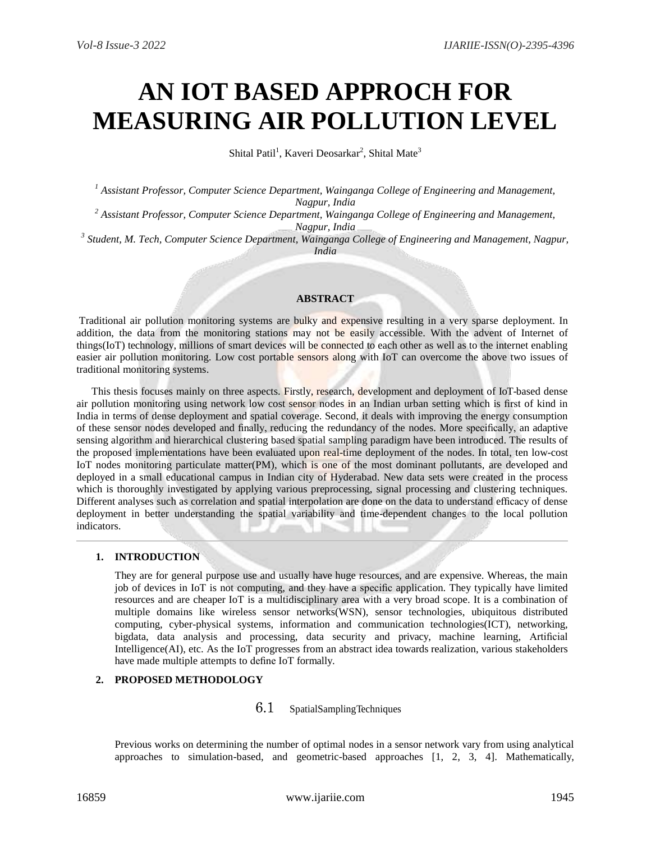# **AN IOT BASED APPROCH FOR MEASURING AIR POLLUTION LEVEL**

Shital Patil<sup>1</sup>, Kaveri Deosarkar<sup>2</sup>, Shital Mate<sup>3</sup>

*<sup>1</sup> Assistant Professor, Computer Science Department, Wainganga College of Engineering and Management, Nagpur, India*

*<sup>2</sup> Assistant Professor, Computer Science Department, Wainganga College of Engineering and Management, Nagpur, India*

*3 Student, M. Tech, Computer Science Department, Wainganga College of Engineering and Management, Nagpur, India*

## **ABSTRACT**

Traditional air pollution monitoring systems are bulky and expensive resulting in a very sparse deployment. In addition, the data from the monitoring stations may not be easily accessible. With the advent of Internet of things(IoT) technology, millions of smart devices will be connected to each other as well as to the internet enabling easier air pollution monitoring. Low cost portable sensors along with IoT can overcome the above two issues of traditional monitoring systems.

This thesis focuses mainly on three aspects. Firstly, research, development and deployment of IoT-based dense air pollution monitoring using network low cost sensor nodes in an Indian urban setting which is first of kind in India in terms of dense deployment and spatial coverage. Second, it deals with improving the energy consumption of these sensor nodes developed and finally, reducing the redundancy of the nodes. More specifically, an adaptive sensing algorithm and hierarchical clustering based spatial sampling paradigm have been introduced. The results of the proposed implementations have been evaluated upon real-time deployment of the nodes. In total, ten low-cost IoT nodes monitoring particulate matter(PM), which is one of the most dominant pollutants, are developed and deployed in a small educational campus in Indian city of Hyderabad. New data sets were created in the process which is thoroughly investigated by applying various preprocessing, signal processing and clustering techniques. Different analyses such as correlation and spatial interpolation are done on the data to understand efficacy of dense deployment in better understanding the spatial variability and time-dependent changes to the local pollution indicators.

# **1. INTRODUCTION**

They are for general purpose use and usually have huge resources, and are expensive. Whereas, the main job of devices in IoT is not computing, and they have a specific application. They typically have limited resources and are cheaper IoT is a multidisciplinary area with a very broad scope. It is a combination of multiple domains like wireless sensor networks(WSN), sensor technologies, ubiquitous distributed computing, cyber-physical systems, information and communication technologies(ICT), networking, bigdata, data analysis and processing, data security and privacy, machine learning, Artificial Intelligence(AI), etc. As the IoT progresses from an abstract idea towards realization, various stakeholders have made multiple attempts to define IoT formally.

# **2. PROPOSED METHODOLOGY**

# 6.1 SpatialSamplingTechniques

Previous works on determining the number of optimal nodes in a sensor network vary from using analytical approaches to simulation-based, and geometric-based approaches [1, 2, 3, 4]. Mathematically,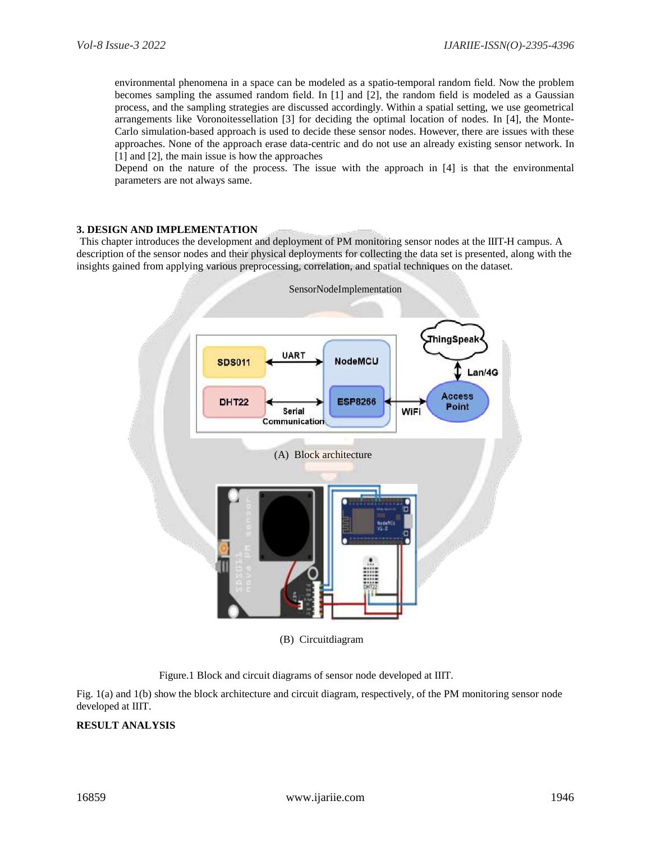environmental phenomena in a space can be modeled as a spatio-temporal random field. Now the problem becomes sampling the assumed random field. In [1] and [2], the random field is modeled as a Gaussian process, and the sampling strategies are discussed accordingly. Within a spatial setting, we use geometrical arrangements like Voronoitessellation [3] for deciding the optimal location of nodes. In [4], the Monte-Carlo simulation-based approach is used to decide these sensor nodes. However, there are issues with these approaches. None of the approach erase data-centric and do not use an already existing sensor network. In [1] and [2], the main issue is how the approaches

Depend on the nature of the process. The issue with the approach in [4] is that the environmental parameters are not always same.

#### **3. DESIGN AND IMPLEMENTATION**

This chapter introduces the development and deployment of PM monitoring sensor nodes at the IIIT-H campus. A description of the sensor nodes and their physical deployments for collecting the data set is presented, along with the insights gained from applying various preprocessing, correlation, and spatial techniques on the dataset.



(B) Circuitdiagram



Fig. 1(a) and 1(b) show the block architecture and circuit diagram, respectively, of the PM monitoring sensor node developed at IIIT.

# **RESULT ANALYSIS**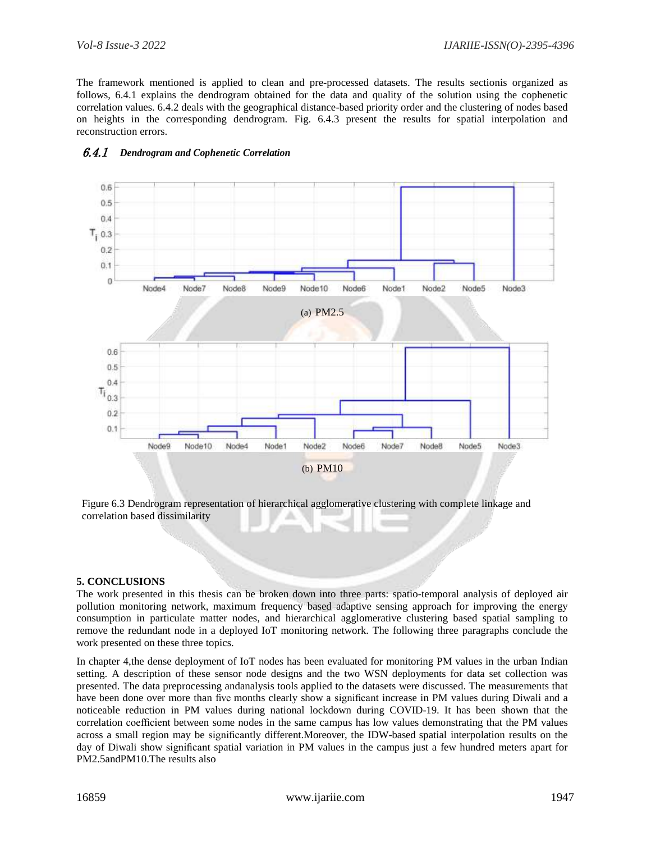The framework mentioned is applied to clean and pre-processed datasets. The results sectionis organized as follows, 6.4.1 explains the dendrogram obtained for the data and quality of the solution using the cophenetic correlation values. 6.4.2 deals with the geographical distance-based priority order and the clustering of nodes based on heights in the corresponding dendrogram. Fig. 6.4.3 present the results for spatial interpolation and reconstruction errors.



# 6.4.1 *Dendrogram and Cophenetic Correlation*

Figure 6.3 Dendrogram representation of hierarchical agglomerative clustering with complete linkage and correlation based dissimilarity

#### **5. CONCLUSIONS**

The work presented in this thesis can be broken down into three parts: spatio-temporal analysis of deployed air pollution monitoring network, maximum frequency based adaptive sensing approach for improving the energy consumption in particulate matter nodes, and hierarchical agglomerative clustering based spatial sampling to remove the redundant node in a deployed IoT monitoring network. The following three paragraphs conclude the work presented on these three topics.

In chapter 4,the dense deployment of IoT nodes has been evaluated for monitoring PM values in the urban Indian setting. A description of these sensor node designs and the two WSN deployments for data set collection was presented. The data preprocessing andanalysis tools applied to the datasets were discussed. The measurements that have been done over more than five months clearly show a significant increase in PM values during Diwali and a noticeable reduction in PM values during national lockdown during COVID-19. It has been shown that the correlation coefficient between some nodes in the same campus has low values demonstrating that the PM values across a small region may be significantly different.Moreover, the IDW-based spatial interpolation results on the day of Diwali show significant spatial variation in PM values in the campus just a few hundred meters apart for PM2.5andPM10.The results also